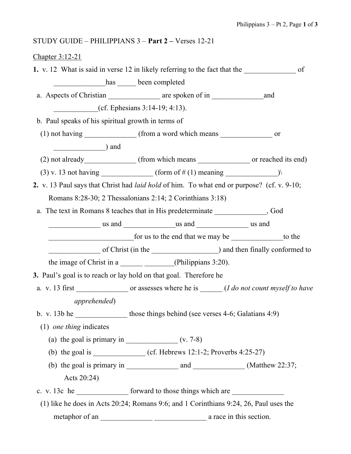## STUDY GUIDE – PHILIPPIANS 3 – Part 2 – Verses 12-21

## Chapter 3:12-21

1. v. 12 What is said in verse 12 in likely referring to the fact that the of has been completed a. Aspects of Christian are spoken of in and  $(cf. Ephesians 3:14-19; 4:13).$  b. Paul speaks of his spiritual growth in terms of (1) not having  $\frac{1}{\sqrt{1-\frac{1}{n}}}$  (from a word which means  $\frac{1}{\sqrt{1-\frac{1}{n}}}$  or \_\_\_\_\_\_\_\_\_\_\_\_\_\_) and (2) not already\_\_\_\_\_\_\_\_\_\_\_\_\_ (from which means \_\_\_\_\_\_\_\_\_\_\_\_\_\_\_\_ or reached its end) (3) v. 13 not having (form of # (1) meaning  $($ 2. v. 13 Paul says that Christ had laid hold of him. To what end or purpose? (cf. v. 9-10; Romans 8:28-30; 2 Thessalonians 2:14; 2 Corinthians 3:18) a. The text in Romans 8 teaches that in His predeterminate , God us and  $\qquad \qquad$  us and  $\qquad \qquad$  us and  $\qquad \qquad$  us and  $\qquad \qquad$ for us to the end that we may be to the of Christ (in the  $\qquad \qquad$ ) and then finally conformed to the image of Christ in a \_\_\_\_\_\_\_\_\_\_\_\_\_\_\_\_(Philippians 3:20). 3. Paul's goal is to reach or lay hold on that goal. Therefore he a. v. 13 first  $\qquad \qquad$  or assesses where he is  $\qquad \qquad (I \, do \, not \, count \, myself \, to \, have$  apprehended) b. v. 13b he those things behind (see verses 4-6; Galatians 4:9) (1) one thing indicates (a) the goal is primary in  $\frac{\ }{\ }$  (v. 7-8) (b) the goal is \_\_\_\_\_\_\_\_\_\_\_\_\_\_ (cf. Hebrews 12:1-2; Proverbs 4:25-27) (b) the goal is primary in  $\frac{1}{\sqrt{2}}$  and  $\frac{1}{\sqrt{2}}$  (Matthew 22:37; Acts 20:24) c. v. 13c he forward to those things which are (1) like he does in Acts 20:24; Romans 9:6; and 1 Corinthians 9:24, 26, Paul uses the metaphor of an \_\_\_\_\_\_\_\_\_\_\_\_\_\_ \_\_\_\_\_\_\_\_\_\_\_\_\_\_ a race in this section.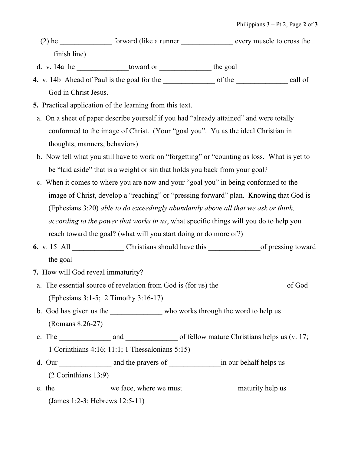- (2) he forward (like a runner every muscle to cross the finish line)
- d. v. 14a he \_\_\_\_\_\_\_\_\_\_\_\_\_\_toward or \_\_\_\_\_\_\_\_\_\_\_\_\_\_ the goal
- 4. v. 14b Ahead of Paul is the goal for the \_\_\_\_\_\_\_\_\_\_\_\_\_\_ of the \_\_\_\_\_\_\_\_\_\_\_\_\_\_ call of God in Christ Jesus.
- 5. Practical application of the learning from this text.
- a. On a sheet of paper describe yourself if you had "already attained" and were totally conformed to the image of Christ. (Your "goal you". Yu as the ideal Christian in thoughts, manners, behaviors)
- b. Now tell what you still have to work on "forgetting" or "counting as loss. What is yet to be "laid aside" that is a weight or sin that holds you back from your goal?
- c. When it comes to where you are now and your "goal you" in being conformed to the image of Christ, develop a "reaching" or "pressing forward" plan. Knowing that God is (Ephesians 3:20) able to do exceedingly abundantly above all that we ask or think, according to the power that works in us, what specific things will you do to help you reach toward the goal? (what will you start doing or do more of?)
- 6. v. 15 All \_\_\_\_\_\_\_\_\_\_\_\_\_\_ Christians should have this \_\_\_\_\_\_\_\_\_\_\_\_\_\_of pressing toward the goal
- 7. How will God reveal immaturity?
- a. The essential source of revelation from God is (for us) the of God (Ephesians 3:1-5; 2 Timothy 3:16-17).
- b. God has given us the \_\_\_\_\_\_\_\_\_\_\_\_\_\_\_ who works through the word to help us (Romans 8:26-27)
- c. The and and of fellow mature Christians helps us (v. 17; 1 Corinthians 4:16; 11:1; 1 Thessalonians 5:15)
- d. Our and the prayers of in our behalf helps us (2 Corinthians 13:9)
- e. the we face, where we must maturity help us (James 1:2-3; Hebrews 12:5-11)